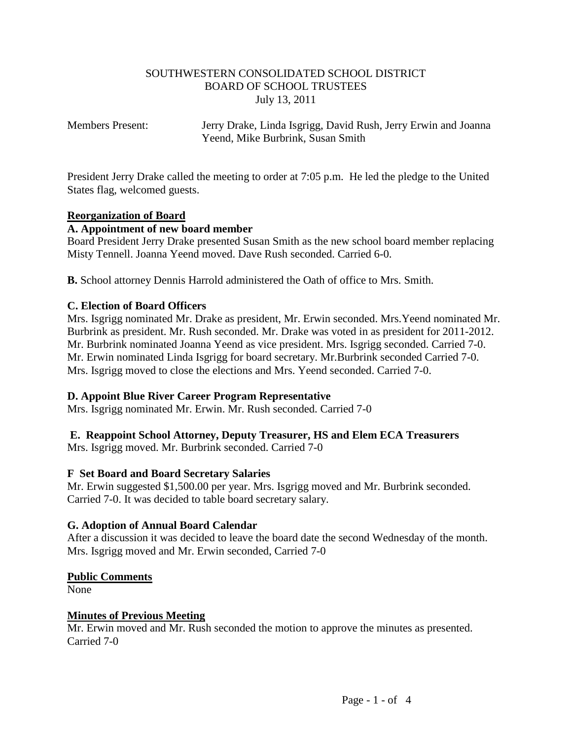## SOUTHWESTERN CONSOLIDATED SCHOOL DISTRICT BOARD OF SCHOOL TRUSTEES July 13, 2011

Members Present: Jerry Drake, Linda Isgrigg, David Rush, Jerry Erwin and Joanna Yeend, Mike Burbrink, Susan Smith

President Jerry Drake called the meeting to order at 7:05 p.m. He led the pledge to the United States flag, welcomed guests.

## **Reorganization of Board**

## **A. Appointment of new board member**

Board President Jerry Drake presented Susan Smith as the new school board member replacing Misty Tennell. Joanna Yeend moved. Dave Rush seconded. Carried 6-0.

**B.** School attorney Dennis Harrold administered the Oath of office to Mrs. Smith.

## **C. Election of Board Officers**

Mrs. Isgrigg nominated Mr. Drake as president, Mr. Erwin seconded. Mrs.Yeend nominated Mr. Burbrink as president. Mr. Rush seconded. Mr. Drake was voted in as president for 2011-2012. Mr. Burbrink nominated Joanna Yeend as vice president. Mrs. Isgrigg seconded. Carried 7-0. Mr. Erwin nominated Linda Isgrigg for board secretary. Mr.Burbrink seconded Carried 7-0. Mrs. Isgrigg moved to close the elections and Mrs. Yeend seconded. Carried 7-0.

#### **D. Appoint Blue River Career Program Representative**

Mrs. Isgrigg nominated Mr. Erwin. Mr. Rush seconded. Carried 7-0

# **E. Reappoint School Attorney, Deputy Treasurer, HS and Elem ECA Treasurers**

Mrs. Isgrigg moved. Mr. Burbrink seconded. Carried 7-0

#### **F Set Board and Board Secretary Salaries**

Mr. Erwin suggested \$1,500.00 per year. Mrs. Isgrigg moved and Mr. Burbrink seconded. Carried 7-0. It was decided to table board secretary salary.

#### **G. Adoption of Annual Board Calendar**

After a discussion it was decided to leave the board date the second Wednesday of the month. Mrs. Isgrigg moved and Mr. Erwin seconded, Carried 7-0

#### **Public Comments**

None

#### **Minutes of Previous Meeting**

Mr. Erwin moved and Mr. Rush seconded the motion to approve the minutes as presented. Carried 7-0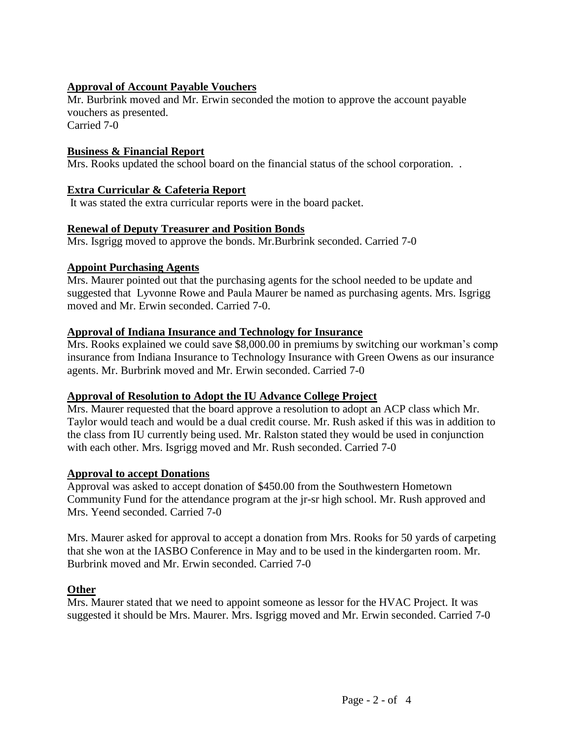# **Approval of Account Payable Vouchers**

Mr. Burbrink moved and Mr. Erwin seconded the motion to approve the account payable vouchers as presented.

Carried 7-0

## **Business & Financial Report**

Mrs. Rooks updated the school board on the financial status of the school corporation. .

## **Extra Curricular & Cafeteria Report**

It was stated the extra curricular reports were in the board packet.

## **Renewal of Deputy Treasurer and Position Bonds**

Mrs. Isgrigg moved to approve the bonds. Mr.Burbrink seconded. Carried 7-0

#### **Appoint Purchasing Agents**

Mrs. Maurer pointed out that the purchasing agents for the school needed to be update and suggested that Lyvonne Rowe and Paula Maurer be named as purchasing agents. Mrs. Isgrigg moved and Mr. Erwin seconded. Carried 7-0.

## **Approval of Indiana Insurance and Technology for Insurance**

Mrs. Rooks explained we could save \$8,000.00 in premiums by switching our workman's comp insurance from Indiana Insurance to Technology Insurance with Green Owens as our insurance agents. Mr. Burbrink moved and Mr. Erwin seconded. Carried 7-0

# **Approval of Resolution to Adopt the IU Advance College Project**

Mrs. Maurer requested that the board approve a resolution to adopt an ACP class which Mr. Taylor would teach and would be a dual credit course. Mr. Rush asked if this was in addition to the class from IU currently being used. Mr. Ralston stated they would be used in conjunction with each other. Mrs. Isgrigg moved and Mr. Rush seconded. Carried 7-0

# **Approval to accept Donations**

Approval was asked to accept donation of \$450.00 from the Southwestern Hometown Community Fund for the attendance program at the jr-sr high school. Mr. Rush approved and Mrs. Yeend seconded. Carried 7-0

Mrs. Maurer asked for approval to accept a donation from Mrs. Rooks for 50 yards of carpeting that she won at the IASBO Conference in May and to be used in the kindergarten room. Mr. Burbrink moved and Mr. Erwin seconded. Carried 7-0

#### **Other**

Mrs. Maurer stated that we need to appoint someone as lessor for the HVAC Project. It was suggested it should be Mrs. Maurer. Mrs. Isgrigg moved and Mr. Erwin seconded. Carried 7-0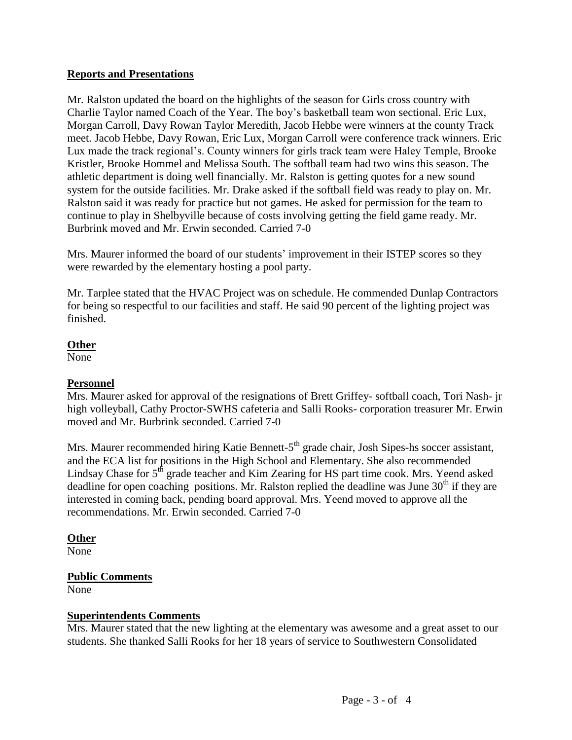# **Reports and Presentations**

Mr. Ralston updated the board on the highlights of the season for Girls cross country with Charlie Taylor named Coach of the Year. The boy's basketball team won sectional. Eric Lux, Morgan Carroll, Davy Rowan Taylor Meredith, Jacob Hebbe were winners at the county Track meet. Jacob Hebbe, Davy Rowan, Eric Lux, Morgan Carroll were conference track winners. Eric Lux made the track regional's. County winners for girls track team were Haley Temple, Brooke Kristler, Brooke Hommel and Melissa South. The softball team had two wins this season. The athletic department is doing well financially. Mr. Ralston is getting quotes for a new sound system for the outside facilities. Mr. Drake asked if the softball field was ready to play on. Mr. Ralston said it was ready for practice but not games. He asked for permission for the team to continue to play in Shelbyville because of costs involving getting the field game ready. Mr. Burbrink moved and Mr. Erwin seconded. Carried 7-0

Mrs. Maurer informed the board of our students' improvement in their ISTEP scores so they were rewarded by the elementary hosting a pool party.

Mr. Tarplee stated that the HVAC Project was on schedule. He commended Dunlap Contractors for being so respectful to our facilities and staff. He said 90 percent of the lighting project was finished.

## **Other**

None

# **Personnel**

Mrs. Maurer asked for approval of the resignations of Brett Griffey- softball coach, Tori Nash- jr high volleyball, Cathy Proctor-SWHS cafeteria and Salli Rooks- corporation treasurer Mr. Erwin moved and Mr. Burbrink seconded. Carried 7-0

Mrs. Maurer recommended hiring Katie Bennett-5<sup>th</sup> grade chair, Josh Sipes-hs soccer assistant, and the ECA list for positions in the High School and Elementary. She also recommended Lindsay Chase for  $5<sup>th</sup>$  grade teacher and Kim Zearing for HS part time cook. Mrs. Yeend asked deadline for open coaching positions. Mr. Ralston replied the deadline was June  $30<sup>th</sup>$  if they are interested in coming back, pending board approval. Mrs. Yeend moved to approve all the recommendations. Mr. Erwin seconded. Carried 7-0

# **Other**

None

# **Public Comments**

None

# **Superintendents Comments**

Mrs. Maurer stated that the new lighting at the elementary was awesome and a great asset to our students. She thanked Salli Rooks for her 18 years of service to Southwestern Consolidated